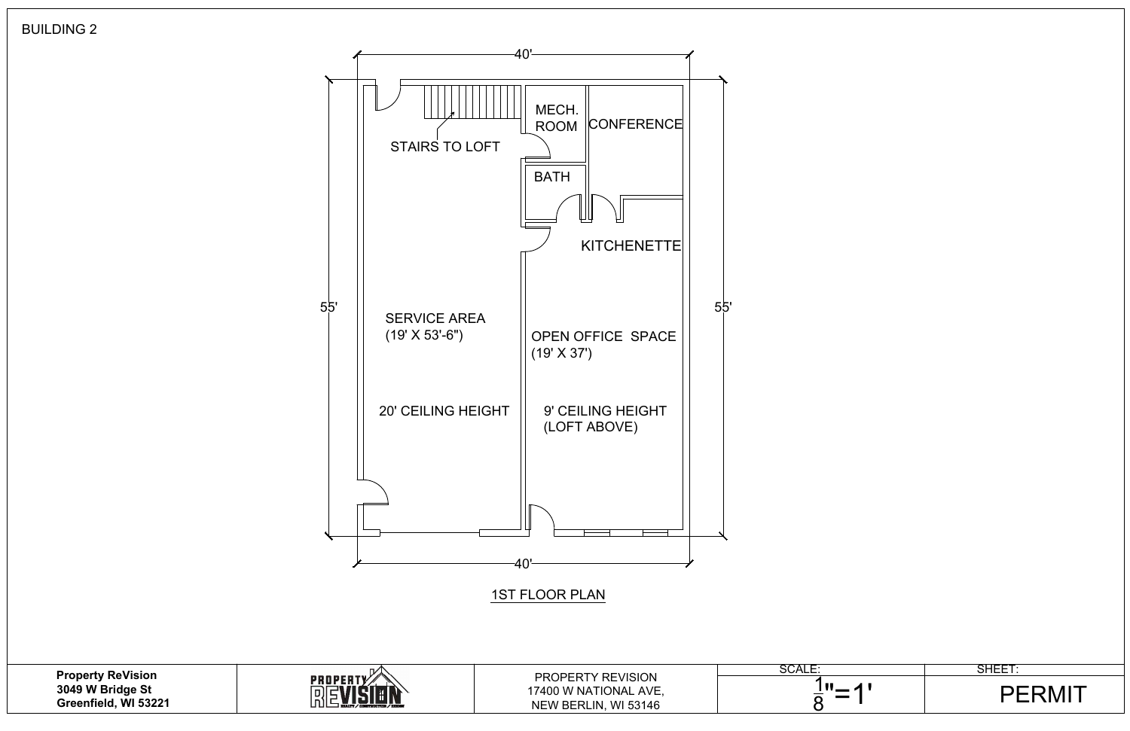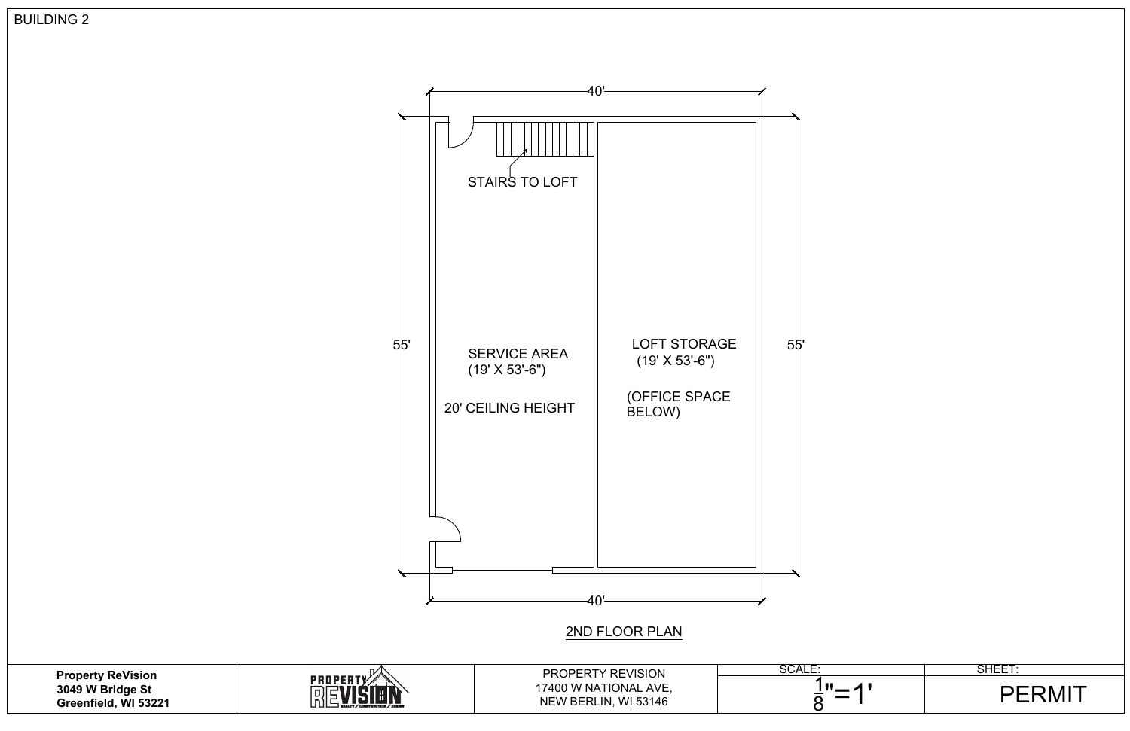

| <b>PROPERTY REVISION</b> |
|--------------------------|
| 17400 W NATIONAL AVE,    |
| NEW BERLIN, WI 53146     |



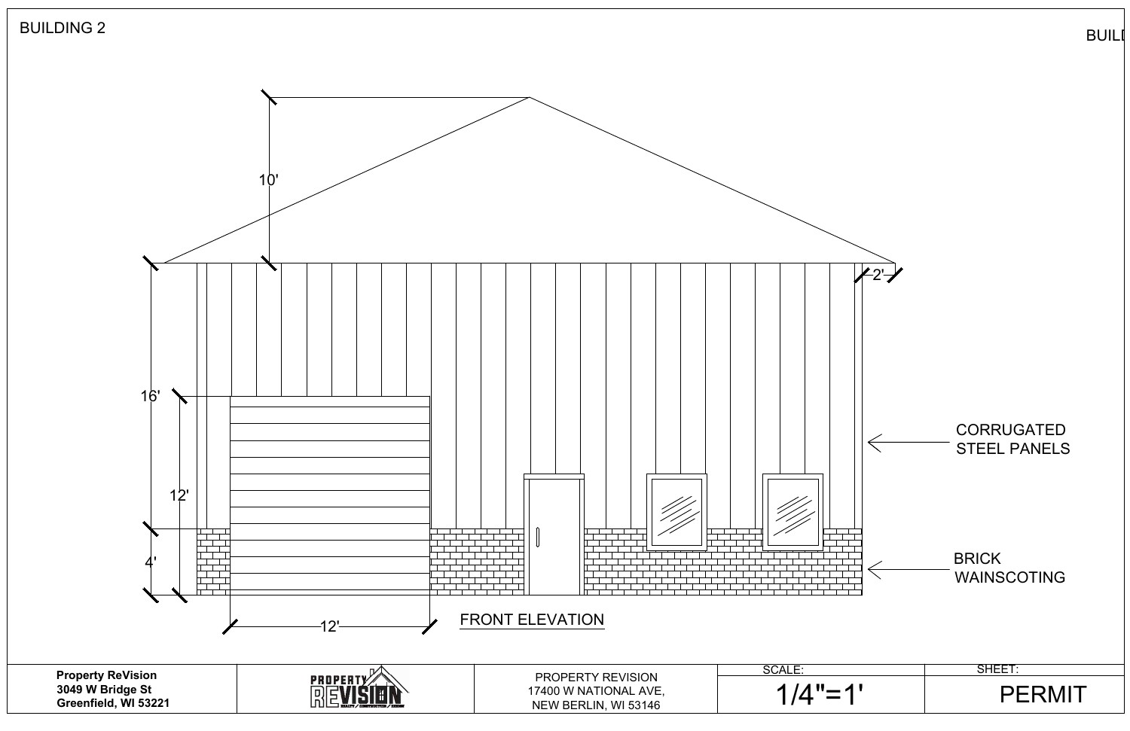

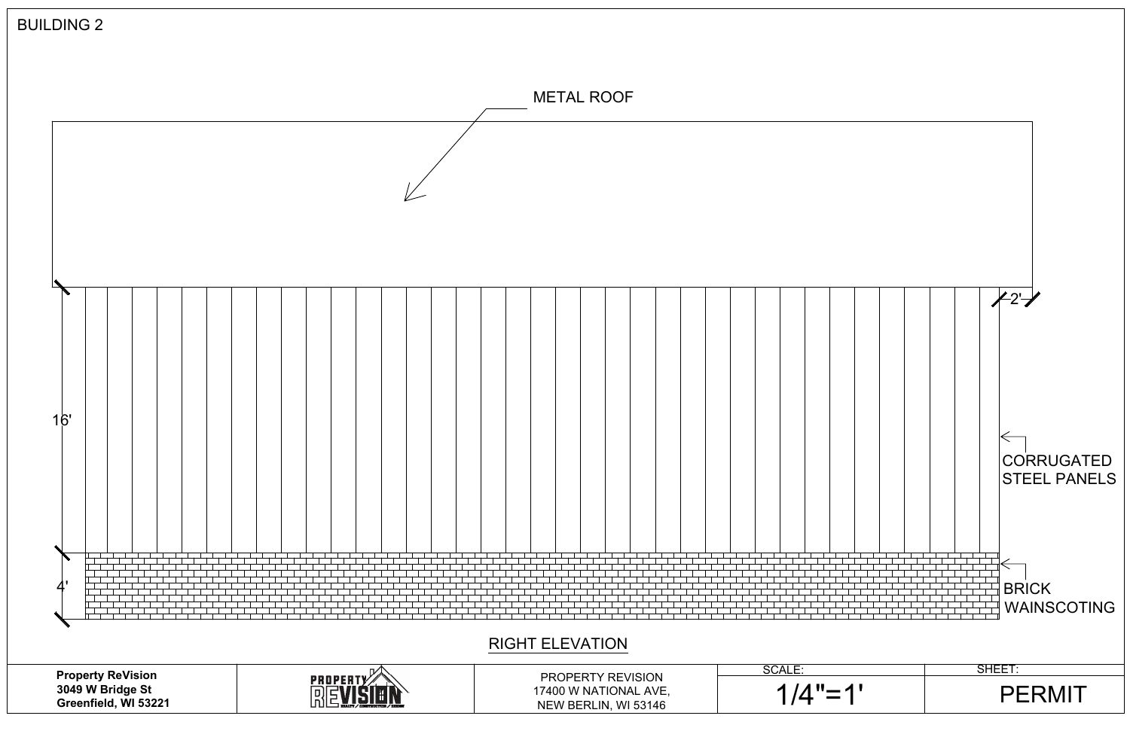| <b>BUILDING 2</b> |                       |                                                               |  |  |  |              |  |  |  |  |  |  |                                                                    |  |  |  |  |  |  |                       |  |  |  |  |  |                         |  |                          |                                          |  |
|-------------------|-----------------------|---------------------------------------------------------------|--|--|--|--------------|--|--|--|--|--|--|--------------------------------------------------------------------|--|--|--|--|--|--|-----------------------|--|--|--|--|--|-------------------------|--|--------------------------|------------------------------------------|--|
| <b>METAL ROOF</b> |                       |                                                               |  |  |  |              |  |  |  |  |  |  |                                                                    |  |  |  |  |  |  |                       |  |  |  |  |  |                         |  |                          |                                          |  |
|                   |                       |                                                               |  |  |  |              |  |  |  |  |  |  |                                                                    |  |  |  |  |  |  |                       |  |  |  |  |  |                         |  |                          |                                          |  |
|                   |                       |                                                               |  |  |  |              |  |  |  |  |  |  |                                                                    |  |  |  |  |  |  |                       |  |  |  |  |  |                         |  | 27                       |                                          |  |
|                   | 16'                   |                                                               |  |  |  |              |  |  |  |  |  |  |                                                                    |  |  |  |  |  |  |                       |  |  |  |  |  |                         |  | $\overline{\phantom{0}}$ | <b>CORRUGATED</b><br><b>STEEL PANELS</b> |  |
|                   | $\mathbf{4}^{\prime}$ |                                                               |  |  |  |              |  |  |  |  |  |  | <b>RIGHT ELEVATION</b>                                             |  |  |  |  |  |  |                       |  |  |  |  |  |                         |  | BRICK                    | <b>WAINSCOTING</b>                       |  |
|                   |                       | Property ReVision<br>3049 W Bridge St<br>Greenfield, WI 53221 |  |  |  | PROPERTY AND |  |  |  |  |  |  | PROPERTY REVISION<br>17400 W NATIONAL AVE,<br>NEW BERLIN, WI 53146 |  |  |  |  |  |  | SCALE:<br>$1/4" = 1'$ |  |  |  |  |  | SHEET:<br><b>PERMIT</b> |  |                          |                                          |  |
|                   |                       |                                                               |  |  |  |              |  |  |  |  |  |  |                                                                    |  |  |  |  |  |  |                       |  |  |  |  |  |                         |  |                          |                                          |  |

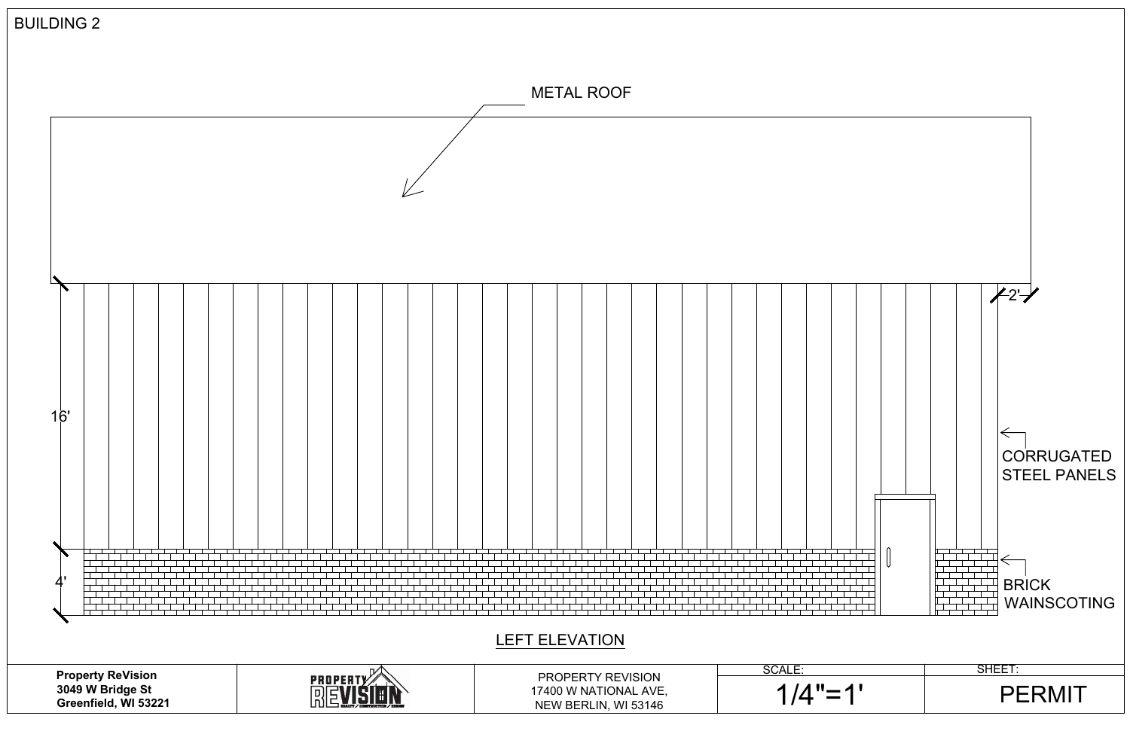